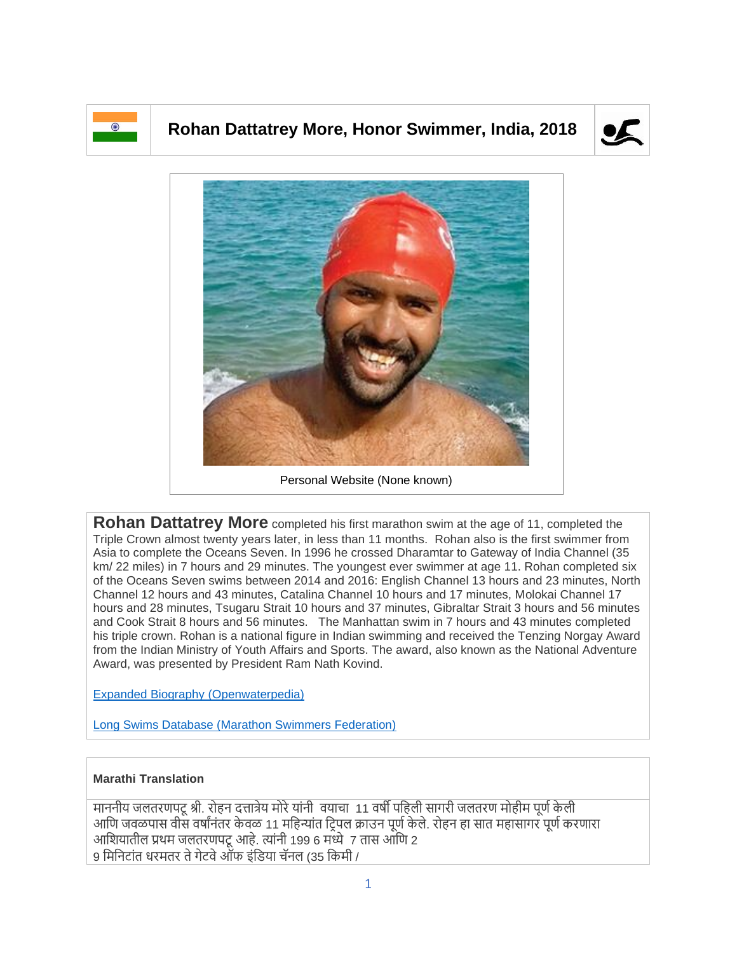

## **Rohan Dattatrey More, Honor Swimmer, India, 2018**





**Rohan Dattatrey More** completed his first marathon swim at the age of 11, completed the Triple Crown almost twenty years later, in less than 11 months. Rohan also is the first swimmer from Asia to complete the Oceans Seven. In 1996 he crossed Dharamtar to Gateway of India Channel (35 km/ 22 miles) in 7 hours and 29 minutes. The youngest ever swimmer at age 11. Rohan completed six of the Oceans Seven swims between 2014 and 2016: English Channel 13 hours and 23 minutes, North Channel 12 hours and 43 minutes, Catalina Channel 10 hours and 17 minutes, Molokai Channel 17 hours and 28 minutes, Tsugaru Strait 10 hours and 37 minutes, Gibraltar Strait 3 hours and 56 minutes and Cook Strait 8 hours and 56 minutes. The Manhattan swim in 7 hours and 43 minutes completed his triple crown. Rohan is a national figure in Indian swimming and received the Tenzing Norgay Award from the Indian Ministry of Youth Affairs and Sports. The award, also known as the National Adventure Award, was presented by President Ram Nath Kovind.

[Expanded Biography](https://www.openwaterpedia.com/index.php?title=Rohan_Dattatrey_More) (Openwaterpedia)

Long Swims Database [\(Marathon Swimmers Federation\)](https://db.marathonswimmers.org/p/rohan-more/)

## **Marathi Translation**

माननीय जलतरणपटू श्री. रोहन दत्तात्रेय मोरे यांनी वयाचा 11 वर्षी पहिली सागरी जलतरण मोहीम पूर्ण केली आणि जवळपास वीस वर्षांनंतर केवळ 11 महिन्यांत ट्रिपल क्राउन पूर्ण केले. रोहन हा सात महासागर पूर्ण करणारा आशियातील प्रथम जलतरणपटू आहे. त्यांनी 199 6 मध्ये 7 तास आणि 2 9 मिनिटांत धरमतर ते गेटवे ऑफ इंडिया चॅनल (35 किमी /